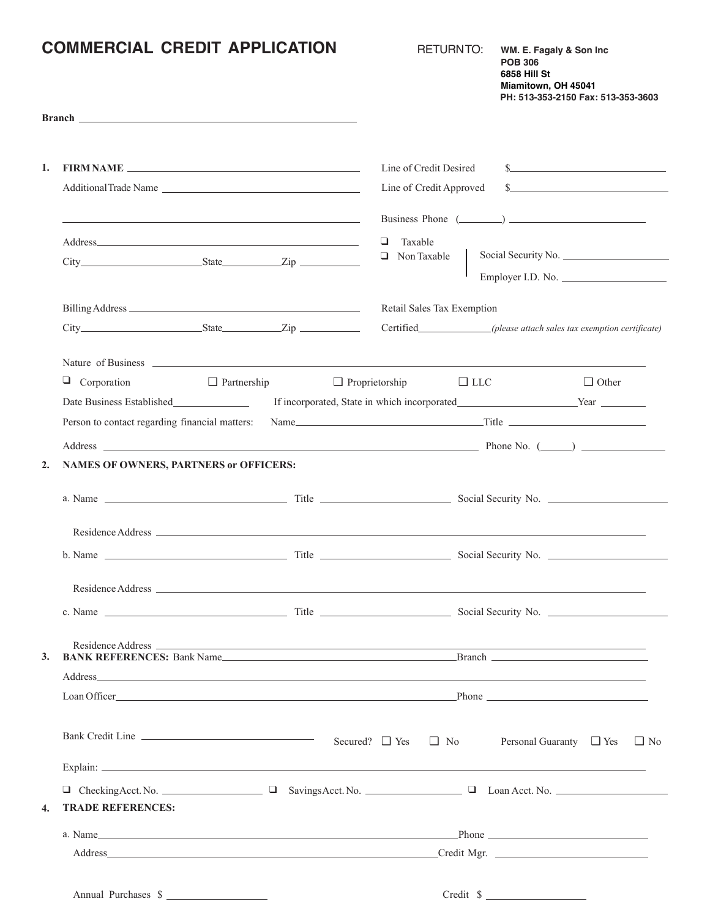|                  | <b>COMMERCIAL CREDIT APPLICATION</b><br>Branch <b>Example 2018</b> and 2018 and 2019 and 2019 and 2019 and 2019 and 2019 and 2019 and 2019 and 2019 and 2019 and 2019 and 2019 and 2019 and 2019 and 2019 and 2019 and 2019 and 2019 and 2019 and 2019 and 2019 and 2019 an                                                                                                                                                                                           | <b>RETURNTO:</b>                                                                                                                                                                                                               | WM. E. Fagaly & Son Inc<br><b>POB 306</b><br><b>6858 Hill St</b><br>Miamitown, OH 45041<br>PH: 513-353-2150 Fax: 513-353-3603                                                                                                                                                                                                                                                                                                                                                              |  |
|------------------|-----------------------------------------------------------------------------------------------------------------------------------------------------------------------------------------------------------------------------------------------------------------------------------------------------------------------------------------------------------------------------------------------------------------------------------------------------------------------|--------------------------------------------------------------------------------------------------------------------------------------------------------------------------------------------------------------------------------|--------------------------------------------------------------------------------------------------------------------------------------------------------------------------------------------------------------------------------------------------------------------------------------------------------------------------------------------------------------------------------------------------------------------------------------------------------------------------------------------|--|
|                  |                                                                                                                                                                                                                                                                                                                                                                                                                                                                       |                                                                                                                                                                                                                                |                                                                                                                                                                                                                                                                                                                                                                                                                                                                                            |  |
| 1.               |                                                                                                                                                                                                                                                                                                                                                                                                                                                                       | Line of Credit Desired                                                                                                                                                                                                         | s                                                                                                                                                                                                                                                                                                                                                                                                                                                                                          |  |
|                  | Additional Trade Name                                                                                                                                                                                                                                                                                                                                                                                                                                                 | Line of Credit Approved                                                                                                                                                                                                        | s                                                                                                                                                                                                                                                                                                                                                                                                                                                                                          |  |
|                  | <u> 1989 - Johann Stein, marwolaethau a bhann an t-Amhain ann an t-Amhain an t-Amhain an t-Amhain an t-Amhain an </u>                                                                                                                                                                                                                                                                                                                                                 |                                                                                                                                                                                                                                | Business Phone $(\_\_)$                                                                                                                                                                                                                                                                                                                                                                                                                                                                    |  |
|                  | Address and the contract of the contract of the contract of the contract of the contract of the contract of the contract of the contract of the contract of the contract of the contract of the contract of the contract of th                                                                                                                                                                                                                                        | Taxable<br>□                                                                                                                                                                                                                   |                                                                                                                                                                                                                                                                                                                                                                                                                                                                                            |  |
|                  |                                                                                                                                                                                                                                                                                                                                                                                                                                                                       | $\Box$ Non Taxable                                                                                                                                                                                                             | Social Security No.                                                                                                                                                                                                                                                                                                                                                                                                                                                                        |  |
|                  |                                                                                                                                                                                                                                                                                                                                                                                                                                                                       |                                                                                                                                                                                                                                | Employer I.D. No.                                                                                                                                                                                                                                                                                                                                                                                                                                                                          |  |
|                  |                                                                                                                                                                                                                                                                                                                                                                                                                                                                       | Retail Sales Tax Exemption                                                                                                                                                                                                     |                                                                                                                                                                                                                                                                                                                                                                                                                                                                                            |  |
|                  |                                                                                                                                                                                                                                                                                                                                                                                                                                                                       |                                                                                                                                                                                                                                | Certified (please attach sales tax exemption certificate)                                                                                                                                                                                                                                                                                                                                                                                                                                  |  |
|                  | Nature of Business experience and the contract of the contract of the contract of the contract of Business experience of the contract of the contract of the contract of the contract of the contract of the contract of the c                                                                                                                                                                                                                                        |                                                                                                                                                                                                                                |                                                                                                                                                                                                                                                                                                                                                                                                                                                                                            |  |
|                  | $\Box$ Corporation<br>$\Box$ Partnership                                                                                                                                                                                                                                                                                                                                                                                                                              | $\Box$ Proprietorship<br>$\Box$ LLC                                                                                                                                                                                            | $\Box$ Other                                                                                                                                                                                                                                                                                                                                                                                                                                                                               |  |
|                  |                                                                                                                                                                                                                                                                                                                                                                                                                                                                       |                                                                                                                                                                                                                                |                                                                                                                                                                                                                                                                                                                                                                                                                                                                                            |  |
|                  |                                                                                                                                                                                                                                                                                                                                                                                                                                                                       |                                                                                                                                                                                                                                |                                                                                                                                                                                                                                                                                                                                                                                                                                                                                            |  |
|                  |                                                                                                                                                                                                                                                                                                                                                                                                                                                                       |                                                                                                                                                                                                                                |                                                                                                                                                                                                                                                                                                                                                                                                                                                                                            |  |
| 2.               | <b>NAMES OF OWNERS, PARTNERS or OFFICERS:</b>                                                                                                                                                                                                                                                                                                                                                                                                                         |                                                                                                                                                                                                                                |                                                                                                                                                                                                                                                                                                                                                                                                                                                                                            |  |
|                  |                                                                                                                                                                                                                                                                                                                                                                                                                                                                       |                                                                                                                                                                                                                                |                                                                                                                                                                                                                                                                                                                                                                                                                                                                                            |  |
|                  |                                                                                                                                                                                                                                                                                                                                                                                                                                                                       |                                                                                                                                                                                                                                |                                                                                                                                                                                                                                                                                                                                                                                                                                                                                            |  |
|                  |                                                                                                                                                                                                                                                                                                                                                                                                                                                                       |                                                                                                                                                                                                                                |                                                                                                                                                                                                                                                                                                                                                                                                                                                                                            |  |
|                  |                                                                                                                                                                                                                                                                                                                                                                                                                                                                       |                                                                                                                                                                                                                                |                                                                                                                                                                                                                                                                                                                                                                                                                                                                                            |  |
|                  |                                                                                                                                                                                                                                                                                                                                                                                                                                                                       |                                                                                                                                                                                                                                |                                                                                                                                                                                                                                                                                                                                                                                                                                                                                            |  |
|                  |                                                                                                                                                                                                                                                                                                                                                                                                                                                                       |                                                                                                                                                                                                                                |                                                                                                                                                                                                                                                                                                                                                                                                                                                                                            |  |
| 3.               | Residence Address Land and the Contract of the Contract of the Contract of the Contract of the Contract of the Contract of the Contract of the Contract of the Contract of the Contract of the Contract of the Contract of the<br><b>BANK REFERENCES:</b> Bank Name Branch Branch Branch Branch Branch Branch Branch Branch Branch Branch Branch Branch Branch Branch Branch Branch Branch Branch Branch Branch Branch Branch Branch Branch Branch Branch Branch Bran |                                                                                                                                                                                                                                |                                                                                                                                                                                                                                                                                                                                                                                                                                                                                            |  |
|                  | Address and the contract of the contract of the contract of the contract of the contract of the contract of the contract of the contract of the contract of the contract of the contract of the contract of the contract of th                                                                                                                                                                                                                                        |                                                                                                                                                                                                                                |                                                                                                                                                                                                                                                                                                                                                                                                                                                                                            |  |
|                  |                                                                                                                                                                                                                                                                                                                                                                                                                                                                       | Loan Officer Phone Phone Phone Phone Phone Phone Phone Phone Phone Phone Phone Phone Phone Phone Phone Phone Phone Phone Phone Phone Phone Phone Phone Phone Phone Phone Phone Phone Phone Phone Phone Phone Phone Phone Phone |                                                                                                                                                                                                                                                                                                                                                                                                                                                                                            |  |
|                  | Bank Credit Line                                                                                                                                                                                                                                                                                                                                                                                                                                                      | Secured? $\Box$ Yes $\Box$ No                                                                                                                                                                                                  | Personal Guaranty $\Box$ Yes $\Box$ No                                                                                                                                                                                                                                                                                                                                                                                                                                                     |  |
|                  |                                                                                                                                                                                                                                                                                                                                                                                                                                                                       |                                                                                                                                                                                                                                |                                                                                                                                                                                                                                                                                                                                                                                                                                                                                            |  |
|                  | $\Box$ Checking Acct. No. $\Box$ Savings Acct. No. $\Box$ Loan Acct. No. $\Box$                                                                                                                                                                                                                                                                                                                                                                                       |                                                                                                                                                                                                                                |                                                                                                                                                                                                                                                                                                                                                                                                                                                                                            |  |
| $\overline{4}$ . | <b>TRADE REFERENCES:</b>                                                                                                                                                                                                                                                                                                                                                                                                                                              |                                                                                                                                                                                                                                |                                                                                                                                                                                                                                                                                                                                                                                                                                                                                            |  |
|                  | a. Name Phone Phone Phone Phone Phone Phone Phone Phone Phone Phone Phone Phone Phone Phone Phone Phone Phone Phone Phone Phone Phone Phone Phone Phone Phone Phone Phone Phone Phone Phone Phone Phone Phone Phone Phone Phon                                                                                                                                                                                                                                        |                                                                                                                                                                                                                                |                                                                                                                                                                                                                                                                                                                                                                                                                                                                                            |  |
|                  |                                                                                                                                                                                                                                                                                                                                                                                                                                                                       |                                                                                                                                                                                                                                |                                                                                                                                                                                                                                                                                                                                                                                                                                                                                            |  |
|                  |                                                                                                                                                                                                                                                                                                                                                                                                                                                                       |                                                                                                                                                                                                                                |                                                                                                                                                                                                                                                                                                                                                                                                                                                                                            |  |
|                  | Annual Purchases \$                                                                                                                                                                                                                                                                                                                                                                                                                                                   |                                                                                                                                                                                                                                | $\begin{tabular}{c} Credit \end{tabular} \begin{tabular}{c} \multicolumn{2}{c}{{\textbf{\textit{S}}}}\\ \multicolumn{2}{c}{{\textbf{\textit{S}}}}\\ \multicolumn{2}{c}{{\textbf{\textit{S}}}}\\ \multicolumn{2}{c}{{\textbf{\textit{C}}}}\\ \multicolumn{2}{c}{{\textbf{\textit{C}}}}\\ \multicolumn{2}{c}{{\textbf{\textit{C}}}}\\ \multicolumn{2}{c}{{\textbf{\textit{S}}}}\\ \multicolumn{2}{c}{{\textbf{\textit{C}}}}\\ \multicolumn{2}{c}{{\textbf{\textit{C}}}}\\ \multicolumn{2}{c$ |  |
|                  |                                                                                                                                                                                                                                                                                                                                                                                                                                                                       |                                                                                                                                                                                                                                |                                                                                                                                                                                                                                                                                                                                                                                                                                                                                            |  |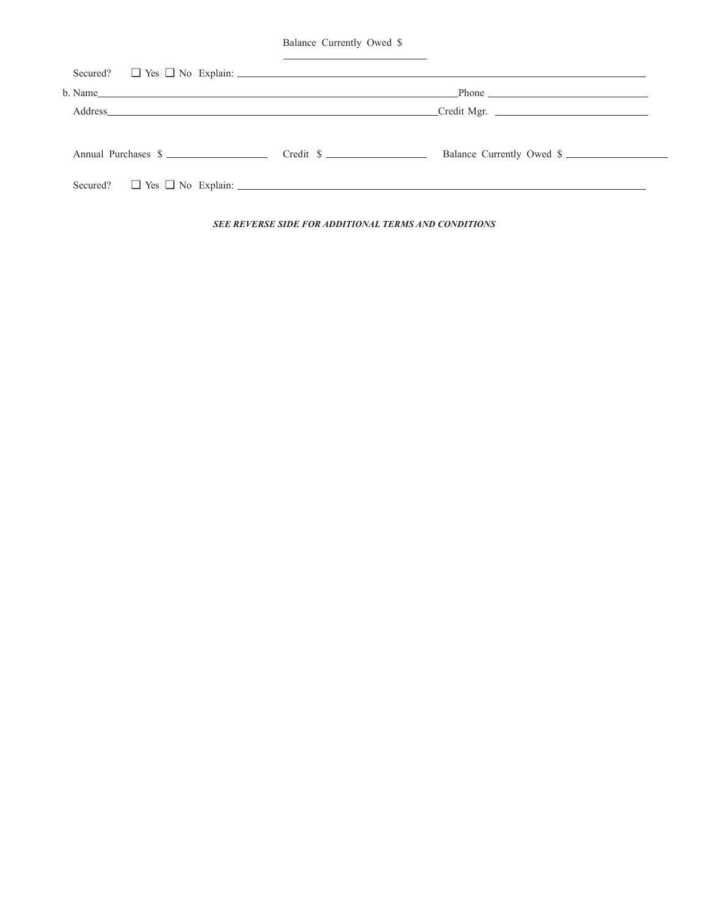Balance Currently Owed \$

| Secured? $\Box$ Yes $\Box$ No Explain: $\Box$ And $\Box$ And $\Box$ And $\Box$ And $\Box$ And $\Box$ And $\Box$ And $\Box$ And $\Box$ And $\Box$ And $\Box$ And $\Box$ And $\Box$ And $\Box$ And $\Box$ And $\Box$ And $\Box$ And $\Box$ And $\Box$ And $\Box$ And $\Box$ A |  |  |
|-----------------------------------------------------------------------------------------------------------------------------------------------------------------------------------------------------------------------------------------------------------------------------|--|--|
| $b. Name$ and $c. A$ and $d. A$ and $d. A$ and $d. A$ and $d. A$ and $d. A$ and $d. A$ and $d. A$ and $d. A$ and $d. A$ and $d. A$ and $d. A$ and $d. A$ and $d. A$ and $d. A$ and $d. A$ and $d. A$ and $d. A$ and $d. A$ and $d. A$ and $d. A$ and                        |  |  |
| Credit Mgr.                                                                                                                                                                                                                                                                 |  |  |
| Annual Purchases \$<br>Balance Currently Owed \$<br>Secured? $\Box$ Yes $\Box$ No Explain: $\Box$                                                                                                                                                                           |  |  |
|                                                                                                                                                                                                                                                                             |  |  |

*SEE REVERSE SIDE FOR ADDITIONAL TERMS AND CONDITIONS*